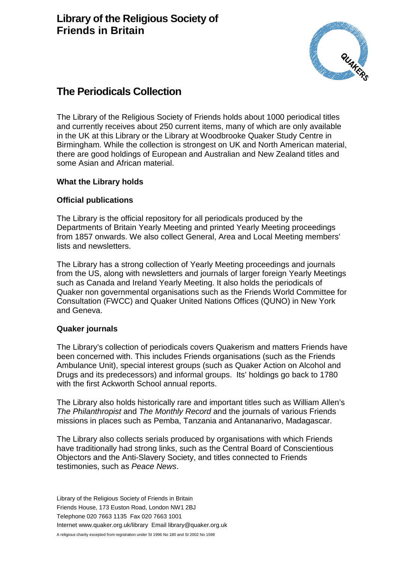

# **The Periodicals Collection**

The Library of the Religious Society of Friends holds about 1000 periodical titles and currently receives about 250 current items, many of which are only available in the UK at this Library or the Library at Woodbrooke Quaker Study Centre in Birmingham. While the collection is strongest on UK and North American material, there are good holdings of European and Australian and New Zealand titles and some Asian and African material.

## **What the Library holds**

# **Official publications**

The Library is the official repository for all periodicals produced by the Departments of Britain Yearly Meeting and printed Yearly Meeting proceedings from 1857 onwards. We also collect General, Area and Local Meeting members' lists and newsletters.

The Library has a strong collection of Yearly Meeting proceedings and journals from the US, along with newsletters and journals of larger foreign Yearly Meetings such as Canada and Ireland Yearly Meeting. It also holds the periodicals of Quaker non governmental organisations such as the Friends World Committee for Consultation (FWCC) and Quaker United Nations Offices (QUNO) in New York and Geneva.

#### **Quaker journals**

The Library's collection of periodicals covers Quakerism and matters Friends have been concerned with. This includes Friends organisations (such as the Friends Ambulance Unit), special interest groups (such as Quaker Action on Alcohol and Drugs and its predecessors) and informal groups. Its' holdings go back to 1780 with the first Ackworth School annual reports.

The Library also holds historically rare and important titles such as William Allen's *The Philanthropist* and *The Monthly Record* and the journals of various Friends missions in places such as Pemba, Tanzania and Antananarivo, Madagascar.

The Library also collects serials produced by organisations with which Friends have traditionally had strong links, such as the Central Board of Conscientious Objectors and the Anti-Slavery Society, and titles connected to Friends testimonies, such as *Peace News*.

Library of the Religious Society of Friends in Britain Friends House, 173 Euston Road, London NW1 2BJ Telephone 020 7663 1135 Fax 020 7663 1001 Internet www.quaker.org.uk/library Email library@quaker.org.uk A religious charity excepted from registration under SI 1996 No 180 and SI 2002 No 1598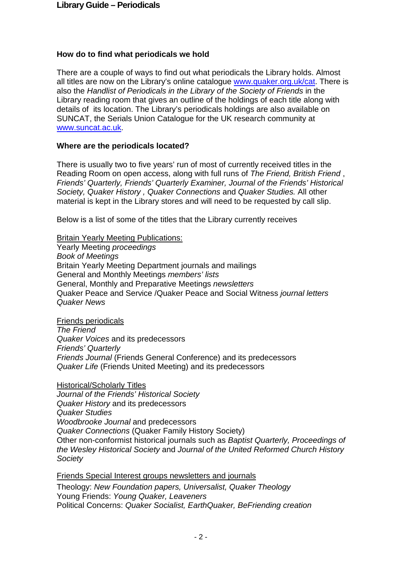# **How do to find what periodicals we hold**

There are a couple of ways to find out what periodicals the Library holds. Almost all titles are now on the Library's online catalogue [www.quaker.org.uk/cat.](http://www.quaker.org.uk/cat) There is also the *Handlist of Periodicals in the Library of the Society of Friends* in the Library reading room that gives an outline of the holdings of each title along with details of its location. The Library's periodicals holdings are also available on SUNCAT, the Serials Union Catalogue for the UK research community at [www.suncat.ac.uk.](http://www.suncat.ac.uk/)

## **Where are the periodicals located?**

There is usually two to five years' run of most of currently received titles in the Reading Room on open access, along with full runs of *The Friend, British Friend* , *Friends' Quarterly, Friends' Quarterly Examiner, Journal of the Friends' Historical Society, Quaker History , Quaker Connections* and *Quaker Studies.* All other material is kept in the Library stores and will need to be requested by call slip.

Below is a list of some of the titles that the Library currently receives

Britain Yearly Meeting Publications:

Yearly Meeting *proceedings Book of Meetings*  Britain Yearly Meeting Department journals and mailings General and Monthly Meetings *members' lists* General, Monthly and Preparative Meetings *newsletters* Quaker Peace and Service /Quaker Peace and Social Witness *journal letters Quaker News*

Friends periodicals

*The Friend Quaker Voices* and its predecessors *Friends' Quarterly Friends Journal* (Friends General Conference) and its predecessors *Quaker Life* (Friends United Meeting) and its predecessors

Historical/Scholarly Titles *Journal of the Friends' Historical Society Quaker History* and its predecessors *Quaker Studies Woodbrooke Journal* and predecessors *Quaker Connections* (Quaker Family History Society) Other non-conformist historical journals such as *Baptist Quarterly, Proceedings of the Wesley Historical Society* and *Journal of the United Reformed Church History Society*

Friends Special Interest groups newsletters and journals Theology: *New Foundation papers, Universalist, Quaker Theology* Young Friends: *Young Quaker, Leaveners* Political Concerns: *Quaker Socialist, EarthQuaker, BeFriending creation*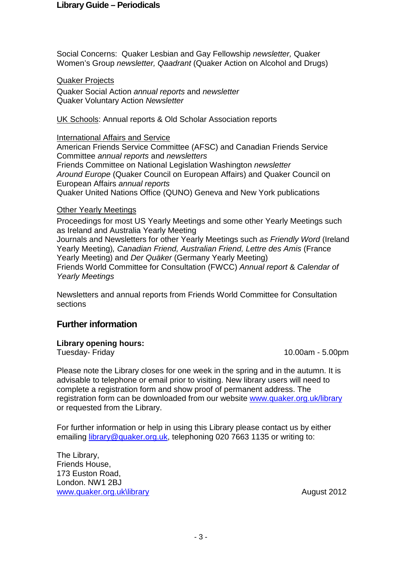#### **Library Guide – Periodicals**

Social Concerns: Quaker Lesbian and Gay Fellowship *newsletter,* Quaker Women's Group *newsletter, Qaadrant* (Quaker Action on Alcohol and Drugs)

Quaker Projects

Quaker Social Action *annual reports* and *newsletter* Quaker Voluntary Action *Newsletter*

UK Schools: Annual reports & Old Scholar Association reports

International Affairs and Service American Friends Service Committee (AFSC) and Canadian Friends Service Committee *annual reports* and *newsletters* Friends Committee on National Legislation Washington *newsletter Around Europe* (Quaker Council on European Affairs) and Quaker Council on European Affairs *annual reports* Quaker United Nations Office (QUNO) Geneva and New York publications

#### Other Yearly Meetings

Proceedings for most US Yearly Meetings and some other Yearly Meetings such as Ireland and Australia Yearly Meeting Journals and Newsletters for other Yearly Meetings such *as Friendly Word* (Ireland Yearly Meeting)*, Canadian Friend, Australian Friend, Lettre des Amis* (France Yearly Meeting) and *Der Quäker* (Germany Yearly Meeting) Friends World Committee for Consultation (FWCC) *Annual report* & *Calendar of Yearly Meetings*

Newsletters and annual reports from Friends World Committee for Consultation sections

# **Further information**

#### **Library opening hours:**

Tuesday- Friday 10.00am - 5.00pm

Please note the Library closes for one week in the spring and in the autumn. It is advisable to telephone or email prior to visiting. New library users will need to complete a registration form and show proof of permanent address. The registration form can be downloaded from our website [www.quaker.org.uk/library](http://www.quaker.org.uk/library)  or requested from the Library.

For further information or help in using this Library please contact us by either emailing [library@quaker.org.uk,](mailto:library@quaker.org.uk) telephoning 020 7663 1135 or writing to:

The Library, Friends House, 173 Euston Road, London. NW1 2BJ [www.quaker.org.uk\library](http://www.quaker.org.uk/library) August 2012